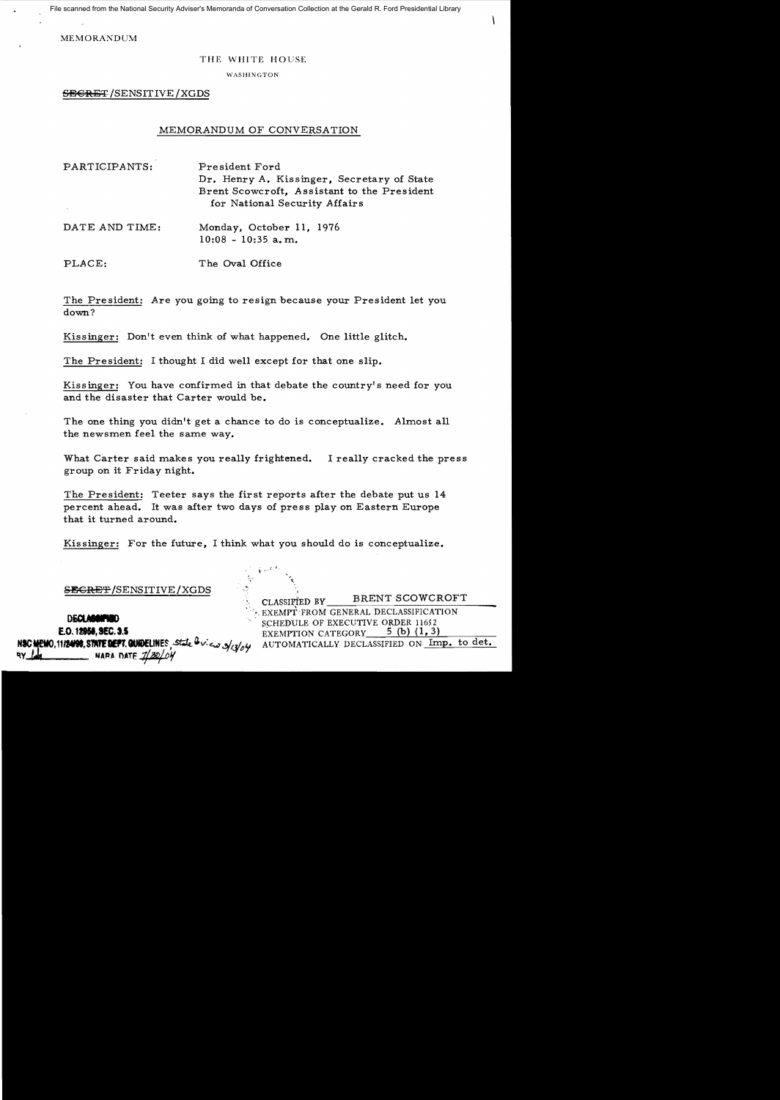File scanned from the National Security Adviser's Memoranda of Conversation Collection at the Gerald R. Ford Presidential Library

MEMORANDUM

## THE WHITE HOUSE

WASHINGTON

**SECRET** / SENSITIVE / XGDS

## MEMORANDUM OF CONVERSATION

PARTICIPANTS: President Ford Dr. Henry A. Kissinger, Secretary of State Brent Scowcroft, Assistant to the President for National Security Affairs

DATE AND TIME: Monday, October 11, 1976  $10:08 - 10:35$  a.m.

PLACE: The Oval Office

The President: Are you going to resign because your President let you down?

Kissinger: Don't even think of what happened. One little glitch.

The President: I thought I did well except for that one slip.

Kissinger: You have confirmed in that debate the country's need for you and the disaster that Carter would be.

The one thing you didn't get a chance to do is conceptualize. Almost all the newsmen feel the same way.

What Carter said makes you really frightened. I really cracked the press group on it Friday night.

The President: Teeter says the first reports after the debate put us 14 percent ahead. It was after two days of press play on Eastern Europe that it turned around.

Kissinger: For the future, I think what you should do is conceptualize.

SECRET/SENSITIVE/XGDS

NARA DATE

CLASSIFIED BY BRENT SCOWCROFT

**EXEMPT** FROM GENERAL DECLASSIFICATION **ILECT AND SEQUAREMENT**<br>
E.O. 12958, SEC. 3.5<br>
FXEMPTION CATEGORY 5 (b) (1, 3) EXEMPTION CATEGORY 5 (b) (1, 3)<br>AUTOMATICALLY DECLASSIFIED ON Im NIC~,**111M11,S1IU'faettl8EUNES** j.st;k~v: <w.:!Jjl:¥{)'t AUTOMATICALLY DECLASSIFIED ON Imp. to det.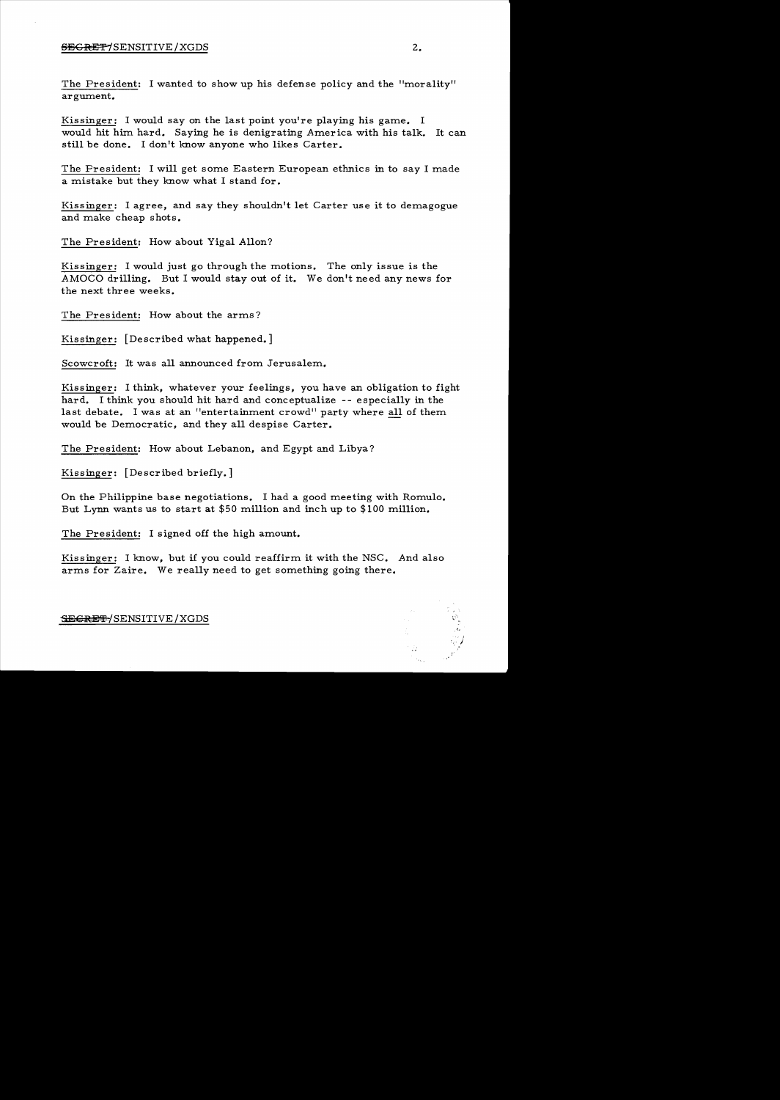## SEGRET/SENSITIVE/XGDS

The President: I wanted to show up his defense policy and the "morality" argument.

Kissinger: I would say on the last point you're playing his game. I would hit him hard. Saying he is denigrating America with his talk. It can still be done. I don't know anyone who likes Carter.

The President: I will get some Eastern European ethnics in to say I made a mistake but they know what I stand for.

Kissinger: I agree, and say they shouldn't let Carter use it to demagogue and make cheap shots.

The President: How about Yigal Allon?

Kissinger: I would just go through the motions. The only issue is the AMOCO drilling. But I would stay out of it. We don't need any news for the next three weeks.

The President: How about the arms?

Kissinger: [Described what happened.]

Scowcroft: It was all announced from Jerusalem.

Kissinger: I think, whatever your feelings, you have an obligation to fight hard. I think you should hit hard and conceptualize -- especially in the last debate. I was at an "entertainment crowd" party where all of them would be Democratic, and they all despise Carter.

The President: How about Lebanon, and Egypt and Libya?

Kissinger: [Described briefly.]

On the Philippine base negotiations. I had a good meeting with Romulo. But Lynn wants us to start at \$50 million and inch up to \$100 million.

The President: I signed off the high amount.

Kissinger: I know, but if you could reaffirm. it with the NSC. And also arms for Zaire. We really need to get something going there.

SECRET / SENSITIVE / XGDS

/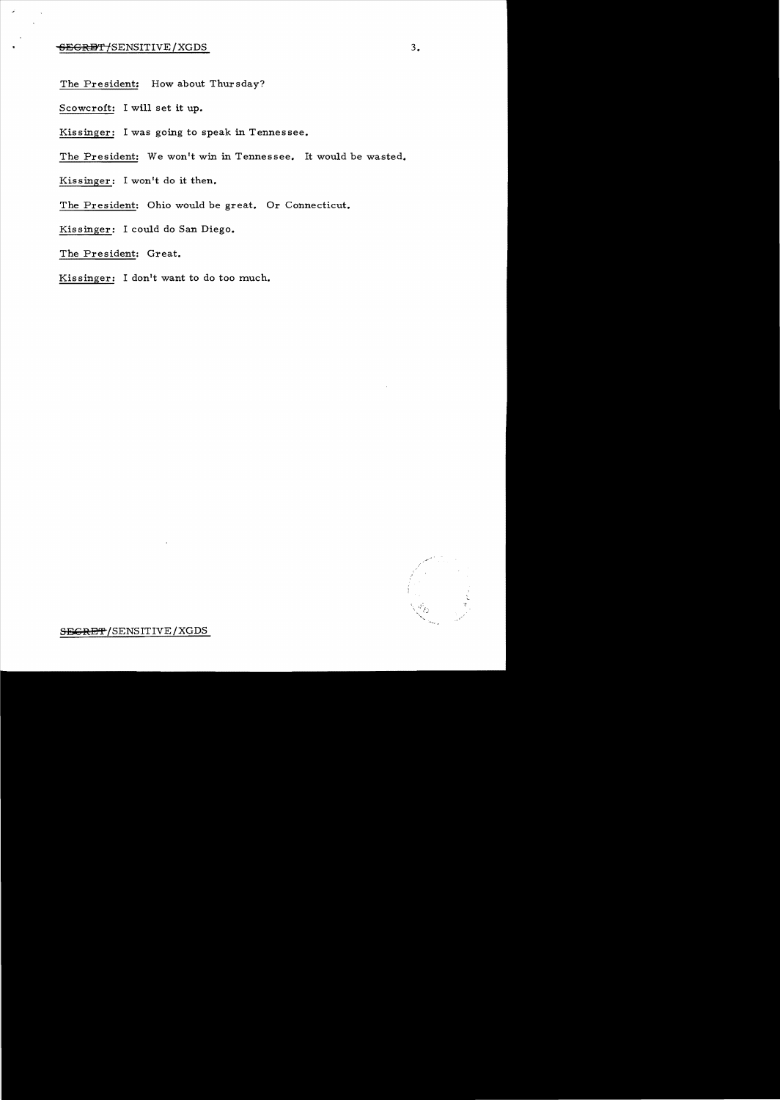The President: How about Thursday?

Scowcroft: I will set it up.

Kissinger: I was going to speak in Tennessee.

The President: We won't win in Tennessee. It would be wasted.

Kissinger: I won't do it then.

The President: Ohio would be great. Or Connecticut.

Kissinger: I could do San Diego.

The President: Great.

Kissinger: I don't want to do too much.

SEGRET/SENSITIVE/XGDS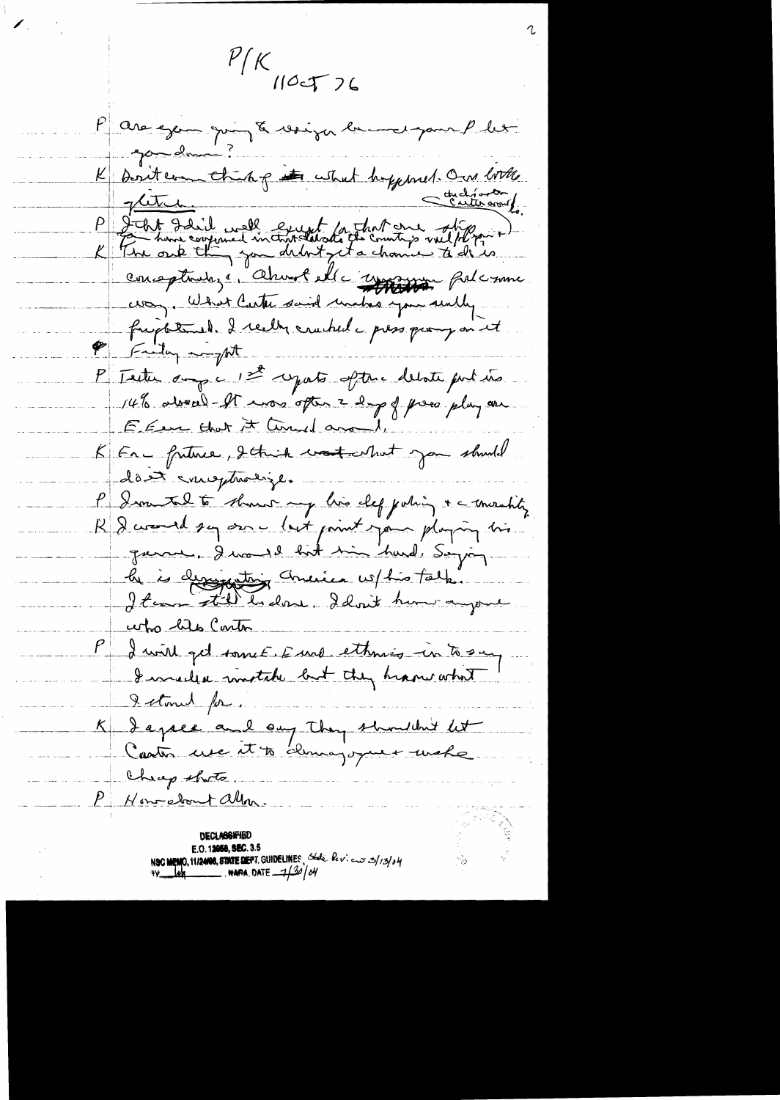$11K$ Pare exemploire de veign en me par let gandmin K Britan this point hypered. On with the group conceptants, i Alunol elle repression falconne frightened. I really cruched a press paray on it P Fully - pt P Teste aux c 1st après aftre debite pour une 14% about - et mos opter 2 days of pres plus are E Even that it Council around. KER - friture, Itail votable par should dont emptrolize. P Jean tal to show my lies clef john + a machty R Devend sur once luit point point plumping tris le is designation America vo/his talk. who his Conton P I will get somet E und ethnis in to sur<br>I somewhere mostale but they heave what I stonet for. K dapee'and ou they shouldn't let Cheep thats. P Hon-dont allow E.O. 12058, SEC. 3.5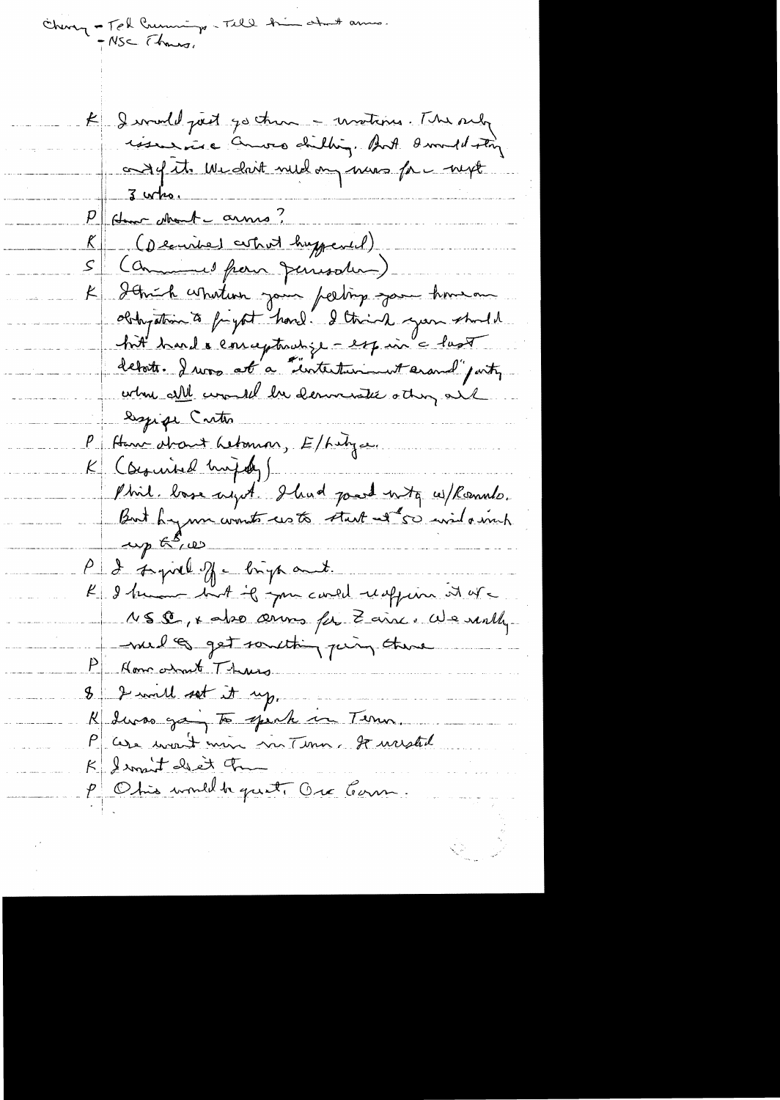Cheng - Tel Cruming - Till him about amo.<br>- NSC (hours,

K I would just go then - unstand. The sub issure anos dilling. And I would story ondefite Wedn't need on more for myt  $3$  who. Home stant arms? (Demine) cutrut huppered) S (Communel from Jemesder) K Schich whatever jour perting jour homeon obthyation to fryst hard. I think you shall hit hard & conceptualize - espaire last deboth. I was at a "unterturioust erand" party where all would be demonster atting all - leggige Critis P Hann drant Lebonson, E/hibyce. K (Syrind hujdy) Phil. losse ayet I had part unto withounds.  $\omega_p$   $\kappa$ <sup>5</sup>, w P & support of - brigh and. K I know but if you could reaffirm at are NSS, x abso arms for Zainc. We really melo get something peing there P Homewhat Thurs 8 2 will set it up. K duras going to spenk in Term. P case mont min no Time, se mestid K Irment det Tr Obis would be quite Ore Com.